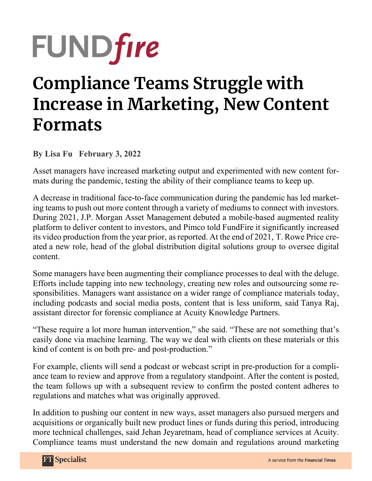## **FUNDfire**

## **Compliance Teams Struggle with Increase in Marketing, New Content Formats**

**By Lisa Fu February 3, 2022** 

Asset managers have increased marketing output and experimented with new content formats during the pandemic, testing the ability of their compliance teams to keep up.

A decrease in traditional face-to-face communication during the pandemic has led marketing teams to push out more content through a variety of mediums to connect with investors. During 2021, J.P. Morgan Asset Management debuted a mobile-based augmented reality platform to deliver content to investors, and Pimco told FundFire it significantly increased its video production from the year prior, as reported. At the end of 2021, T. Rowe Price created a new role, head of the global distribution digital solutions group to oversee digital content.

Some managers have been augmenting their compliance processes to deal with the deluge. Efforts include tapping into new technology, creating new roles and outsourcing some responsibilities. Managers want assistance on a wider range of compliance materials today, including podcasts and social media posts, content that is less uniform, said Tanya Raj, assistant director for forensic compliance at Acuity Knowledge Partners.

"These require a lot more human intervention," she said. "These are not something that's easily done via machine learning. The way we deal with clients on these materials or this kind of content is on both pre- and post-production."

For example, clients will send a podcast or webcast script in pre-production for a compliance team to review and approve from a regulatory standpoint. After the content is posted, the team follows up with a subsequent review to confirm the posted content adheres to regulations and matches what was originally approved.

In addition to pushing our content in new ways, asset managers also pursued mergers and acquisitions or organically built new product lines or funds during this period, introducing more technical challenges, said Jehan Jeyaretnam, head of compliance services at Acuity. Compliance teams must understand the new domain and regulations around marketing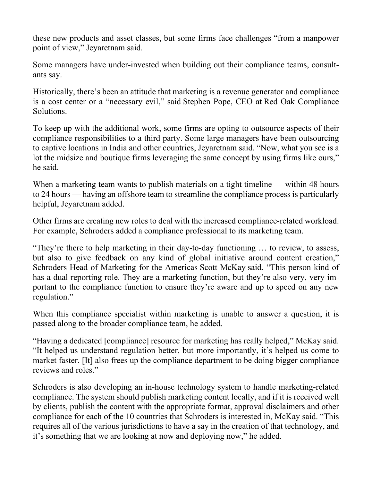these new products and asset classes, but some firms face challenges "from a manpower point of view," Jeyaretnam said.

Some managers have under-invested when building out their compliance teams, consultants say.

Historically, there's been an attitude that marketing is a revenue generator and compliance is a cost center or a "necessary evil," said Stephen Pope, CEO at Red Oak Compliance Solutions.

To keep up with the additional work, some firms are opting to outsource aspects of their compliance responsibilities to a third party. Some large managers have been outsourcing to captive locations in India and other countries, Jeyaretnam said. "Now, what you see is a lot the midsize and boutique firms leveraging the same concept by using firms like ours," he said.

When a marketing team wants to publish materials on a tight timeline — within 48 hours to 24 hours — having an offshore team to streamline the compliance process is particularly helpful, Jeyaretnam added.

Other firms are creating new roles to deal with the increased compliance-related workload. For example, Schroders added a compliance professional to its marketing team.

"They're there to help marketing in their day-to-day functioning … to review, to assess, but also to give feedback on any kind of global initiative around content creation," Schroders Head of Marketing for the Americas Scott McKay said. "This person kind of has a dual reporting role. They are a marketing function, but they're also very, very important to the compliance function to ensure they're aware and up to speed on any new regulation."

When this compliance specialist within marketing is unable to answer a question, it is passed along to the broader compliance team, he added.

"Having a dedicated [compliance] resource for marketing has really helped," McKay said. "It helped us understand regulation better, but more importantly, it's helped us come to market faster. [It] also frees up the compliance department to be doing bigger compliance reviews and roles."

Schroders is also developing an in-house technology system to handle marketing-related compliance. The system should publish marketing content locally, and if it is received well by clients, publish the content with the appropriate format, approval disclaimers and other compliance for each of the 10 countries that Schroders is interested in, McKay said. "This requires all of the various jurisdictions to have a say in the creation of that technology, and it's something that we are looking at now and deploying now," he added.